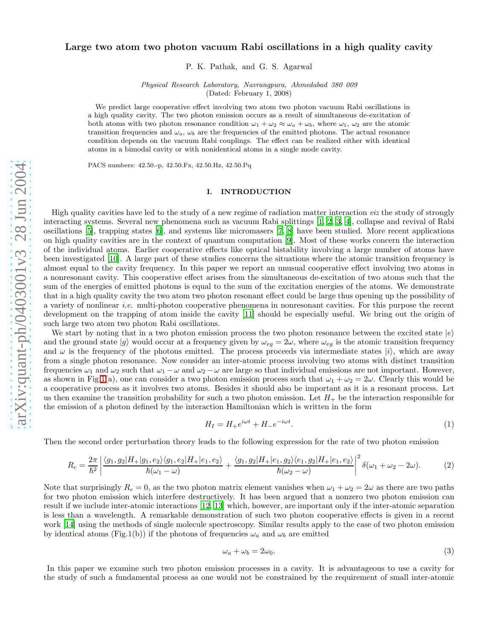# Large two atom two photon vacuum Rabi oscillations in a high quality cavity

P. K. Pathak, and G. S. Agarwal

Physical Research Laboratory, Navrangpura, Ahmedabad 380 009 (Dated: February 1, 2008)

We predict large cooperative effect involving two atom two photon vacuum Rabi oscillations in a high quality cavity. The two photon emission occurs as a result of simultaneous de-excitation of both atoms with two photon resonance condition  $\omega_1 + \omega_2 \approx \omega_a + \omega_b$ , where  $\omega_1$ ,  $\omega_2$  are the atomic transition frequencies and  $\omega_a$ ,  $\omega_b$  are the frequencies of the emitted photons. The actual resonance condition depends on the vacuum Rabi couplings. The effect can be realized either with identical atoms in a bimodal cavity or with nonidentical atoms in a single mode cavity.

PACS numbers: 42.50.-p, 42.50.Fx, 42.50.Hz, 42.50.Pq

## I. INTRODUCTION

High quality cavities have led to the study of a new regime of radiation matter interaction viz the study of strongly interacting systems. Several new phenomena such as vacuum Rabi splittings [\[1](#page-6-0), [2](#page-6-1), [3](#page-6-2), [4\]](#page-6-3), collapse and revival of Rabi oscillations [\[5](#page-6-4)], trapping states [\[6](#page-6-5)], and systems like micromasers [\[7](#page-6-6), [8\]](#page-6-7) have been studied. More recent applications on high quality cavities are in the context of quantum computation [\[9](#page-7-0)]. Most of these works concern the interaction of the individual atoms. Earlier cooperative effects like optical bistability involving a large number of atoms have been investigated [\[10\]](#page-7-1). A large part of these studies concerns the situations where the atomic transition frequency is almost equal to the cavity frequency. In this paper we report an unusual cooperative effect involving two atoms in a nonresonant cavity. This cooperative effect arises from the simultaneous de-excitation of two atoms such that the sum of the energies of emitted photons is equal to the sum of the excitation energies of the atoms. We demonstrate that in a high quality cavity the two atom two photon resonant effect could be large thus opening up the possibility of a variety of nonlinear i.e. multi-photon cooperative phenomena in nonresonant cavities. For this purpose the recent development on the trapping of atom inside the cavity [\[11\]](#page-7-2) should be especially useful. We bring out the origin of such large two atom two photon Rabi oscillations.

We start by noting that in a two photon emission process the two photon resonance between the excited state  $|e\rangle$ and the ground state  $|g\rangle$  would occur at a frequency given by  $\omega_{eg} = 2\omega$ , where  $\omega_{eg}$  is the atomic transition frequency and  $\omega$  is the frequency of the photons emitted. The process proceeds via intermediate states  $|i\rangle$ , which are away from a single photon resonance. Now consider an inter-atomic process involving two atoms with distinct transition frequencies  $\omega_1$  and  $\omega_2$  such that  $\omega_1 - \omega$  and  $\omega_2 - \omega$  are large so that individual emissions are not important. However, as shown in Fig[.1\(](#page-1-0)a), one can consider a two photon emission process such that  $\omega_1 + \omega_2 = 2\omega$ . Clearly this would be a cooperative process as it involves two atoms. Besides it should also be important as it is a resonant process. Let us then examine the transition probability for such a two photon emission. Let  $H_+$  be the interaction responsible for the emission of a photon defined by the interaction Hamiltonian which is written in the form

$$
H_I = H_+ e^{i\omega t} + H_- e^{-i\omega t}.
$$
\n<sup>(1)</sup>

Then the second order perturbation theory leads to the following expression for the rate of two photon emission

$$
R_c = \frac{2\pi}{\hbar^2} \left| \frac{\langle g_1, g_2 | H_+ | g_1, e_2 \rangle \langle g_1, e_2 | H_+ | e_1, e_2 \rangle}{\hbar(\omega_1 - \omega)} + \frac{\langle g_1, g_2 | H_+ | e_1, g_2 \rangle \langle e_1, g_2 | H_+ | e_1, e_2 \rangle}{\hbar(\omega_2 - \omega)} \right|^2 \delta(\omega_1 + \omega_2 - 2\omega). \tag{2}
$$

Note that surprisingly  $R_c = 0$ , as the two photon matrix element vanishes when  $\omega_1 + \omega_2 = 2\omega$  as there are two paths for two photon emission which interfere destructively. It has been argued that a nonzero two photon emission can result if we include inter-atomic interactions [\[12,](#page-7-3) [13](#page-7-4)] which, however, are important only if the inter-atomic separation is less than a wavelength. A remarkable demonstration of such two photon cooperative effects is given in a recent work [\[14\]](#page-7-5) using the methods of single molecule spectroscopy. Similar results apply to the case of two photon emission by identical atoms (Fig.1(b)) if the photons of frequencies  $\omega_a$  and  $\omega_b$  are emitted

$$
\omega_a + \omega_b = 2\omega_0. \tag{3}
$$

In this paper we examine such two photon emission processes in a cavity. It is advantageous to use a cavity for the study of such a fundamental process as one would not be constrained by the requirement of small inter-atomic

ω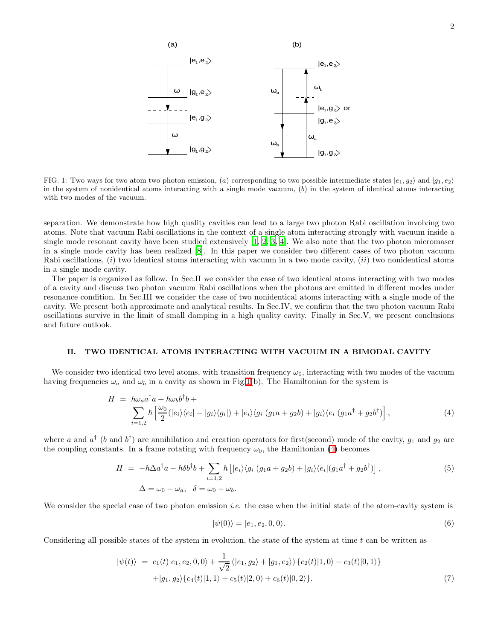

<span id="page-1-0"></span>FIG. 1: Two ways for two atom two photon emission, (a) corresponding to two possible intermediate states  $|e_1, g_2\rangle$  and  $|g_1, e_2\rangle$ in the system of nonidentical atoms interacting with a single mode vacuum,  $(b)$  in the system of identical atoms interacting with two modes of the vacuum.

separation. We demonstrate how high quality cavities can lead to a large two photon Rabi oscillation involving two atoms. Note that vacuum Rabi oscillations in the context of a single atom interacting strongly with vacuum inside a single mode resonant cavity have been studied extensively  $[1, 2, 3, 4]$  $[1, 2, 3, 4]$  $[1, 2, 3, 4]$  $[1, 2, 3, 4]$  $[1, 2, 3, 4]$ . We also note that the two photon micromaser in a single mode cavity has been realized [\[8\]](#page-6-7). In this paper we consider two different cases of two photon vacuum Rabi oscillations,  $(i)$  two identical atoms interacting with vacuum in a two mode cavity,  $(ii)$  two nonidentical atoms in a single mode cavity.

The paper is organized as follow. In Sec.II we consider the case of two identical atoms interacting with two modes of a cavity and discuss two photon vacuum Rabi oscillations when the photons are emitted in different modes under resonance condition. In Sec.III we consider the case of two nonidentical atoms interacting with a single mode of the cavity. We present both approximate and analytical results. In Sec.IV, we confirm that the two photon vacuum Rabi oscillations survive in the limit of small damping in a high quality cavity. Finally in Sec.V, we present conclusions and future outlook.

## II. TWO IDENTICAL ATOMS INTERACTING WITH VACUUM IN A BIMODAL CAVITY

<span id="page-1-1"></span>We consider two identical two level atoms, with transition frequency  $\omega_0$ , interacting with two modes of the vacuum having frequencies  $\omega_a$  and  $\omega_b$  in a cavity as shown in Fig[.1\(](#page-1-0)b). The Hamiltonian for the system is

$$
H = \hbar\omega_a a^\dagger a + \hbar\omega_b b^\dagger b +
$$
  

$$
\sum_{i=1,2} \hbar \left[ \frac{\omega_0}{2} (|e_i\rangle\langle e_i| - |g_i\rangle\langle g_i|) + |e_i\rangle\langle g_i|(g_1 a + g_2 b) + |g_i\rangle\langle e_i|(g_1 a^\dagger + g_2 b^\dagger) \right],
$$
 (4)

<span id="page-1-3"></span>where a and  $a^{\dagger}$  (b and  $b^{\dagger}$ ) are annihilation and creation operators for first(second) mode of the cavity,  $g_1$  and  $g_2$  are the coupling constants. In a frame rotating with frequency  $\omega_0$ , the Hamiltonian [\(4\)](#page-1-1) becomes

$$
H = -\hbar \Delta a^{\dagger} a - \hbar \delta b^{\dagger} b + \sum_{i=1,2} \hbar \left[ |e_i\rangle\langle g_i| (g_1 a + g_2 b) + |g_i\rangle\langle e_i| (g_1 a^{\dagger} + g_2 b^{\dagger}) \right],
$$
  
\n
$$
\Delta = \omega_0 - \omega_a, \quad \delta = \omega_0 - \omega_b.
$$
\n(5)

We consider the special case of two photon emission *i.e.* the case when the initial state of the atom-cavity system is

$$
|\psi(0)\rangle = |e_1, e_2, 0, 0\rangle. \tag{6}
$$

<span id="page-1-2"></span>Considering all possible states of the system in evolution, the state of the system at time  $t$  can be written as

$$
|\psi(t)\rangle = c_1(t)|e_1, e_2, 0, 0\rangle + \frac{1}{\sqrt{2}} (|e_1, g_2\rangle + |g_1, e_2\rangle) \{c_2(t)|1, 0\rangle + c_3(t)|0, 1\rangle\} + |g_1, g_2\rangle \{c_4(t)|1, 1\rangle + c_5(t)|2, 0\rangle + c_6(t)|0, 2\rangle\}.
$$
 (7)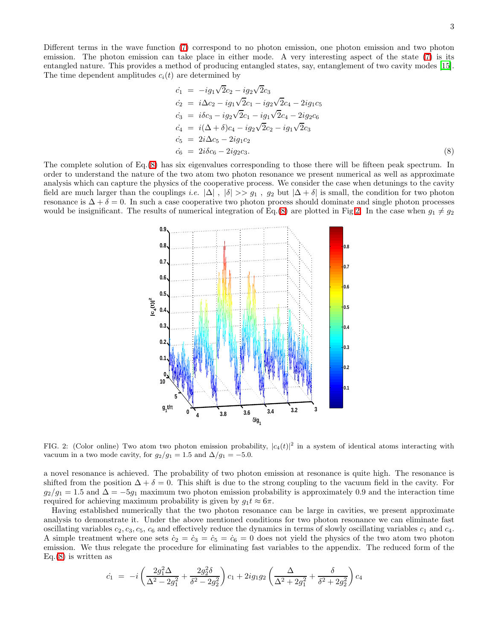Different terms in the wave function [\(7\)](#page-1-2) correspond to no photon emission, one photon emission and two photon emission. The photon emission can take place in either mode. A very interesting aspect of the state [\(7\)](#page-1-2) is its entangled nature. This provides a method of producing entangled states, say, entanglement of two cavity modes [\[15\]](#page-7-6). The time dependent amplitudes  $c_i(t)$  are determined by

<span id="page-2-0"></span>
$$
\begin{aligned}\n\dot{c}_1 &= -ig_1\sqrt{2}c_2 - ig_2\sqrt{2}c_3\\ \n\dot{c}_2 &= i\Delta c_2 - ig_1\sqrt{2}c_1 - ig_2\sqrt{2}c_4 - 2ig_1c_5\\ \n\dot{c}_3 &= i\delta c_3 - ig_2\sqrt{2}c_1 - ig_1\sqrt{2}c_4 - 2ig_2c_6\\ \n\dot{c}_4 &= i(\Delta + \delta)c_4 - ig_2\sqrt{2}c_2 - ig_1\sqrt{2}c_3\\ \n\dot{c}_5 &= 2i\Delta c_5 - 2ig_1c_2\\ \n\dot{c}_6 &= 2i\delta c_6 - 2ig_2c_3.\n\end{aligned} \tag{8}
$$

The complete solution of Eq.[\(8\)](#page-2-0) has six eigenvalues corresponding to those there will be fifteen peak spectrum. In order to understand the nature of the two atom two photon resonance we present numerical as well as approximate analysis which can capture the physics of the cooperative process. We consider the case when detunings to the cavity field are much larger than the couplings i.e.  $|\Delta|$ ,  $|\delta| >> g_1$ ,  $g_2$  but  $|\Delta + \delta|$  is small, the condition for two photon resonance is  $\Delta + \delta = 0$ . In such a case cooperative two photon process should dominate and single photon processes would be insignificant. The results of numerical integration of Eq.[\(8\)](#page-2-0) are plotted in Fig[.2.](#page-2-1) In the case when  $g_1 \neq g_2$ 



<span id="page-2-1"></span>FIG. 2: (Color online) Two atom two photon emission probability,  $|c_4(t)|^2$  in a system of identical atoms interacting with vacuum in a two mode cavity, for  $g_2/g_1 = 1.5$  and  $\Delta/g_1 = -5.0$ .

a novel resonance is achieved. The probability of two photon emission at resonance is quite high. The resonance is shifted from the position  $\Delta + \delta = 0$ . This shift is due to the strong coupling to the vacuum field in the cavity. For  $g_2/g_1 = 1.5$  and  $\Delta = -5g_1$  maximum two photon emission probability is approximately 0.9 and the interaction time required for achieving maximum probability is given by  $g_1 t \approx 6\pi$ .

Having established numerically that the two photon resonance can be large in cavities, we present approximate analysis to demonstrate it. Under the above mentioned conditions for two photon resonance we can eliminate fast oscillating variables  $c_2$ ,  $c_3$ ,  $c_5$ ,  $c_6$  and effectively reduce the dynamics in terms of slowly oscillating variables  $c_1$  and  $c_4$ . A simple treatment where one sets  $\dot{c}_2 = \dot{c}_3 = \dot{c}_5 = \dot{c}_6 = 0$  does not yield the physics of the two atom two photon emission. We thus relegate the procedure for eliminating fast variables to the appendix. The reduced form of the  $Eq.(8)$  $Eq.(8)$  is written as

<span id="page-2-2"></span>
$$
\dot{c}_1 = -i \left( \frac{2g_1^2 \Delta}{\Delta^2 - 2g_1^2} + \frac{2g_2^2 \delta}{\delta^2 - 2g_2^2} \right) c_1 + 2ig_1g_2 \left( \frac{\Delta}{\Delta^2 + 2g_1^2} + \frac{\delta}{\delta^2 + 2g_2^2} \right) c_4
$$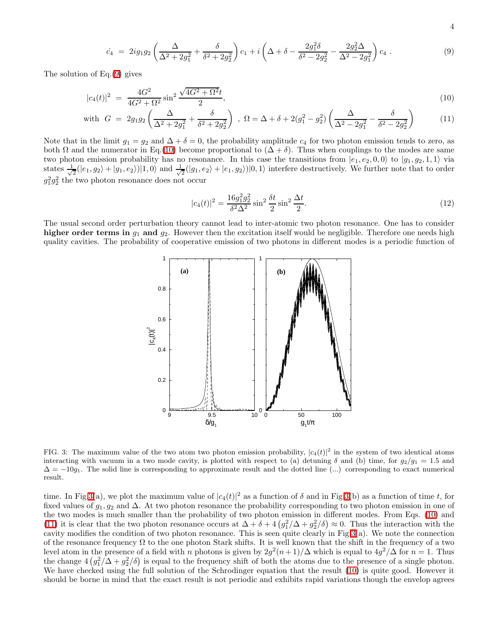$$
4\phantom{1}
$$

$$
\dot{c}_4 = 2ig_1g_2\left(\frac{\Delta}{\Delta^2 + 2g_1^2} + \frac{\delta}{\delta^2 + 2g_2^2}\right)c_1 + i\left(\Delta + \delta - \frac{2g_1^2\delta}{\delta^2 - 2g_2^2} - \frac{2g_2^2\Delta}{\Delta^2 - 2g_1^2}\right)c_4\,. \tag{9}
$$

<span id="page-3-0"></span>The solution of Eq.[\(9\)](#page-2-2) gives

$$
|c_4(t)|^2 = \frac{4G^2}{4G^2 + \Omega^2} \sin^2 \frac{\sqrt{4G^2 + \Omega^2}t}{2},\tag{10}
$$

with 
$$
G = 2g_1g_2\left(\frac{\Delta}{\Delta^2 + 2g_1^2} + \frac{\delta}{\delta^2 + 2g_2^2}\right)
$$
,  $\Omega = \Delta + \delta + 2(g_1^2 - g_2^2)\left(\frac{\Delta}{\Delta^2 - 2g_1^2} - \frac{\delta}{\delta^2 - 2g_2^2}\right)$  (11)

Note that in the limit  $g_1 = g_2$  and  $\Delta + \delta = 0$ , the probability amplitude  $c_4$  for two photon emission tends to zero, as both  $\Omega$  and the numerator in Eq.[\(10\)](#page-3-0) become proportional to  $(\Delta + \delta)$ . Thus when couplings to the modes are same two photon emission probability has no resonance. In this case the transitions from  $|e_1, e_2, 0, 0\rangle$  to  $|g_1, g_2, 1, 1\rangle$  via states  $\frac{1}{\sqrt{2}}$  $\frac{1}{2}(|e_1, g_2\rangle + |g_1, e_2\rangle)|1, 0\rangle$  and  $\frac{1}{\sqrt{2}}$  $\frac{1}{2}(|g_1, e_2\rangle + |e_1, g_2\rangle)|0, 1\rangle$  interfere destructively. We further note that to order  $g_1^2g_2^2$  the two photon resonance does not occur

$$
|c_4(t)|^2 = \frac{16g_1^2g_2^2}{\delta^2\Delta^2}\sin^2\frac{\delta t}{2}\sin^2\frac{\Delta t}{2}.
$$
 (12)

The usual second order perturbation theory cannot lead to inter-atomic two photon resonance. One has to consider higher order terms in  $g_1$  and  $g_2$ . However then the excitation itself would be negligible. Therefore one needs high quality cavities. The probability of cooperative emission of two photons in different modes is a periodic function of



<span id="page-3-1"></span>FIG. 3: The maximum value of the two atom two photon emission probability,  $|c_4(t)|^2$  in the system of two identical atoms interacting with vacuum in a two mode cavity, is plotted with respect to (a) detuning  $\delta$  and (b) time, for  $g_2/g_1 = 1.5$  and  $\Delta = -10g_1$ . The solid line is corresponding to approximate result and the dotted line (...) corresponding to exact numerical result.

time. In Fig[.3\(](#page-3-1)a), we plot the maximum value of  $|c_4(t)|^2$  as a function of  $\delta$  and in Fig.3(b) as a function of time t, for fixed values of  $g_1, g_2$  and  $\Delta$ . At two photon resonance the probability corresponding to two photon emission in one of the two modes is much smaller than the probability of two photon emission in different modes. From Eqs. [\(10\)](#page-3-0) and [\(11\)](#page-3-0) it is clear that the two photon resonance occurs at  $\Delta + \delta + 4(g_1^2/\Delta + g_2^2/\delta) \approx 0$ . Thus the interaction with the cavity modifies the condition of two photon resonance. This is seen quite clearly in Fig[.3\(](#page-3-1)a). We note the connection of the resonance frequency  $\Omega$  to the one photon Stark shifts. It is well known that the shift in the frequency of a two level atom in the presence of a field with n photons is given by  $2g^2(n+1)/\Delta$  which is equal to  $4g^2/\Delta$  for  $n=1$ . Thus the change  $4(g_1^2/\Delta + g_2^2/\delta)$  is equal to the frequency shift of both the atoms due to the presence of a single photon. We have checked using the full solution of the Schrodinger equation that the result [\(10\)](#page-3-0) is quite good. However it should be borne in mind that the exact result is not periodic and exhibits rapid variations though the envelop agrees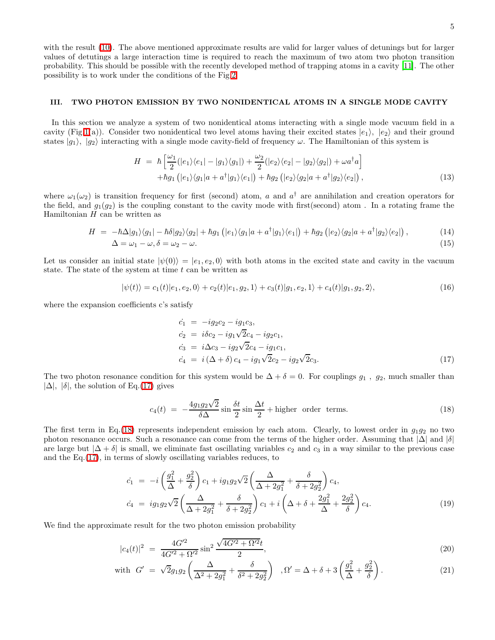5

with the result [\(10\)](#page-3-0). The above mentioned approximate results are valid for larger values of detunings but for larger values of detutings a large interaction time is required to reach the maximum of two atom two photon transition probability. This should be possible with the recently developed method of trapping atoms in a cavity [\[11\]](#page-7-2). The other possibility is to work under the conditions of the Fig[.2.](#page-2-1)

## III. TWO PHOTON EMISSION BY TWO NONIDENTICAL ATOMS IN A SINGLE MODE CAVITY

In this section we analyze a system of two nonidentical atoms interacting with a single mode vacuum field in a cavity (Fig[.1\(](#page-1-0)a)). Consider two nonidentical two level atoms having their excited states  $|e_1\rangle, |e_2\rangle$  and their ground states  $|g_1\rangle$ ,  $|g_2\rangle$  interacting with a single mode cavity-field of frequency  $\omega$ . The Hamiltonian of this system is

$$
H = \hbar \left[ \frac{\omega_1}{2} (|e_1\rangle\langle e_1| - |g_1\rangle\langle g_1|) + \frac{\omega_2}{2} (|e_2\rangle\langle e_2| - |g_2\rangle\langle g_2|) + \omega a^\dagger a \right] + \hbar g_1 (|e_1\rangle\langle g_1|a + a^\dagger|g_1\rangle\langle e_1|) + \hbar g_2 (|e_2\rangle\langle g_2|a + a^\dagger|g_2\rangle\langle e_2|),
$$
(13)

where  $\omega_1(\omega_2)$  is transition frequency for first (second) atom, a and  $a^{\dagger}$  are annihilation and creation operators for the field, and  $g_1(g_2)$  is the coupling constant to the cavity mode with first(second) atom. In a rotating frame the Hamiltonian  $H$  can be written as

$$
H = -\hbar\Delta|g_1\rangle\langle g_1| - \hbar\delta|g_2\rangle\langle g_2| + \hbar g_1(|e_1\rangle\langle g_1|a + a^\dagger|g_1\rangle\langle e_1|) + \hbar g_2(|e_2\rangle\langle g_2|a + a^\dagger|g_2\rangle\langle e_2|),
$$
\n
$$
\Delta = \omega_1 - \omega, \delta = \omega_2 - \omega.
$$
\n(15)

Let us consider an initial state  $|\psi(0)\rangle = |e_1, e_2, 0\rangle$  with both atoms in the excited state and cavity in the vacuum state. The state of the system at time  $t$  can be written as

<span id="page-4-0"></span>
$$
|\psi(t)\rangle = c_1(t)|e_1, e_2, 0\rangle + c_2(t)|e_1, g_2, 1\rangle + c_3(t)|g_1, e_2, 1\rangle + c_4(t)|g_1, g_2, 2\rangle, \tag{16}
$$

where the expansion coefficients c's satisfy

$$
\begin{aligned}\n\dot{c}_1 &= -ig_2c_2 - ig_1c_3, \\
\dot{c}_2 &= i\delta c_2 - ig_1\sqrt{2}c_4 - ig_2c_1, \\
\dot{c}_3 &= i\Delta c_3 - ig_2\sqrt{2}c_4 - ig_1c_1, \\
\dot{c}_4 &= i(\Delta + \delta)c_4 - ig_1\sqrt{2}c_2 - ig_2\sqrt{2}c_3.\n\end{aligned} \tag{17}
$$

The two photon resonance condition for this system would be  $\Delta + \delta = 0$ . For couplings  $g_1$ ,  $g_2$ , much smaller than  $|\Delta|, |\delta|$ , the solution of Eq.[\(17\)](#page-4-0) gives

$$
c_4(t) = -\frac{4g_1g_2\sqrt{2}}{\delta\Delta}\sin\frac{\delta t}{2}\sin\frac{\Delta t}{2} + \text{higher order terms.} \tag{18}
$$

<span id="page-4-1"></span>The first term in Eq.[\(18\)](#page-4-1) represents independent emission by each atom. Clearly, to lowest order in  $g_1g_2$  no two photon resonance occurs. Such a resonance can come from the terms of the higher order. Assuming that  $|\Delta|$  and  $|\delta|$ are large but  $|\Delta + \delta|$  is small, we eliminate fast oscillating variables  $c_2$  and  $c_3$  in a way similar to the previous case and the Eq.[\(17\)](#page-4-0), in terms of slowly oscillating variables reduces, to

$$
\dot{c}_1 = -i\left(\frac{g_1^2}{\Delta} + \frac{g_2^2}{\delta}\right)c_1 + ig_1g_2\sqrt{2}\left(\frac{\Delta}{\Delta + 2g_1^2} + \frac{\delta}{\delta + 2g_2^2}\right)c_4, \n\dot{c}_4 = ig_1g_2\sqrt{2}\left(\frac{\Delta}{\Delta + 2g_1^2} + \frac{\delta}{\delta + 2g_2^2}\right)c_1 + i\left(\Delta + \delta + \frac{2g_1^2}{\Delta} + \frac{2g_2^2}{\delta}\right)c_4.
$$
\n(19)

<span id="page-4-2"></span>We find the approximate result for the two photon emission probability

$$
|c_4(t)|^2 = \frac{4G'^2}{4G'^2 + \Omega'^2} \sin^2 \frac{\sqrt{4G'^2 + \Omega'^2}t}{2},\tag{20}
$$

with 
$$
G' = \sqrt{2}g_1g_2\left(\frac{\Delta}{\Delta^2 + 2g_1^2} + \frac{\delta}{\delta^2 + 2g_2^2}\right), \Omega' = \Delta + \delta + 3\left(\frac{g_1^2}{\Delta} + \frac{g_2^2}{\delta}\right).
$$
 (21)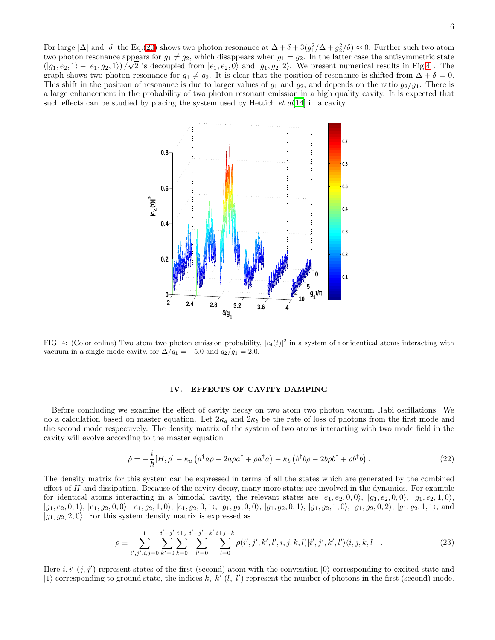For large  $|\Delta|$  and  $|\delta|$  the Eq.[\(20\)](#page-4-2) shows two photon resonance at  $\Delta + \delta + 3(g_1^2/\Delta + g_2^2/\delta) \approx 0$ . Further such two atom two photon resonance appears for  $g_1 \neq g_2$ , which disappears when  $g_1 = g_2$ . In the latter case the antisymmetric state ( $|g_1, e_2, 1\rangle - |e_1, g_2, 1\rangle$ ) / $\sqrt{2}$  is decoupled from  $|e_1, e_2, 0\rangle$  and  $|g_1, g_2, 2\rangle$ . We present numerical results in Fig[.4](#page-5-0). The graph shows two photon resonance for  $g_1 \neq g_2$ . It is clear that the position of resonance is shifted from  $\Delta + \delta = 0$ . This shift in the position of resonance is due to larger values of  $g_1$  and  $g_2$ , and depends on the ratio  $g_2/g_1$ . There is a large enhancement in the probability of two photon resonant emission in a high quality cavity. It is expected that such effects can be studied by placing the system used by Hettich *et al*[\[14\]](#page-7-5) in a cavity.



<span id="page-5-0"></span>FIG. 4: (Color online) Two atom two photon emission probability,  $|c_4(t)|^2$  in a system of nonidentical atoms interacting with vacuum in a single mode cavity, for  $\Delta/g_1 = -5.0$  and  $g_2/g_1 = 2.0$ .

#### IV. EFFECTS OF CAVITY DAMPING

Before concluding we examine the effect of cavity decay on two atom two photon vacuum Rabi oscillations. We do a calculation based on master equation. Let  $2\kappa_a$  and  $2\kappa_b$  be the rate of loss of photons from the first mode and the second mode respectively. The density matrix of the system of two atoms interacting with two mode field in the cavity will evolve according to the master equation

$$
\dot{\rho} = -\frac{i}{\hbar} [H, \rho] - \kappa_a \left( a^\dagger a \rho - 2a \rho a^\dagger + \rho a^\dagger a \right) - \kappa_b \left( b^\dagger b \rho - 2b \rho b^\dagger + \rho b^\dagger b \right). \tag{22}
$$

The density matrix for this system can be expressed in terms of all the states which are generated by the combined effect of  $H$  and dissipation. Because of the cavity decay, many more states are involved in the dynamics. For example for identical atoms interacting in a bimodal cavity, the relevant states are  $|e_1, e_2, 0, 0\rangle$ ,  $|g_1, e_2, 0, 0\rangle$ ,  $|g_1, e_2, 1, 0\rangle$ ,  $|g_1, e_2, 0, 1\rangle$ ,  $|e_1, g_2, 0, 0\rangle$ ,  $|e_1, g_2, 1, 0\rangle$ ,  $|e_1, g_2, 0, 1\rangle$ ,  $|g_1, g_2, 0, 0\rangle$ ,  $|g_1, g_2, 0, 1\rangle$ ,  $|g_1, g_2, 1, 0\rangle$ ,  $|g_1, g_2, 0, 2\rangle$ ,  $|g_1, g_2, 1, 1\rangle$ , and  $|g_1, g_2, 2, 0\rangle$ . For this system density matrix is expressed as

$$
\rho \equiv \sum_{i',j',i,j=0}^{1} \sum_{k'=0}^{i'+j'} \sum_{k=0}^{i+j'-i+j-k'} \sum_{l'=0}^{i+j-k'} \rho(i',j',k',l',i,j,k,l)|i',j',k',l'\rangle \langle i,j,k,l| \quad . \tag{23}
$$

Here  $i, i'$   $(j, j')$  represent states of the first (second) atom with the convention  $|0\rangle$  corresponding to excited state and  $|1\rangle$  corresponding to ground state, the indices k, k' (l, l') represent the number of photons in the first (second) mode.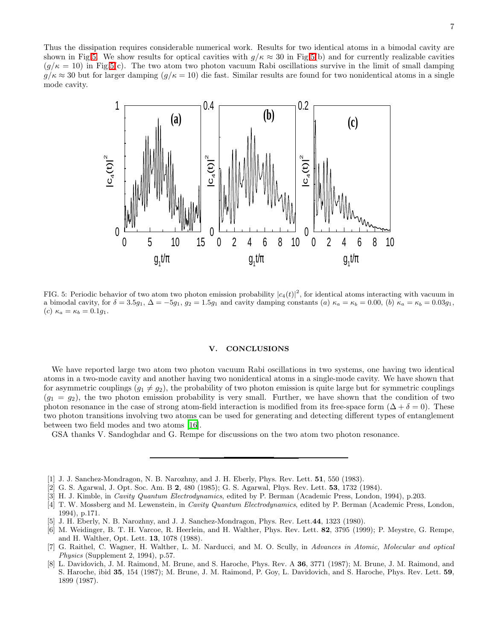Thus the dissipation requires considerable numerical work. Results for two identical atoms in a bimodal cavity are shown in Fig[.5.](#page-6-8) We show results for optical cavities with  $g/\kappa \approx 30$  in Fig[.5\(](#page-6-8)b) and for currently realizable cavities  $(q/\kappa = 10)$  in Fig[.5\(](#page-6-8)c). The two atom two photon vacuum Rabi oscillations survive in the limit of small damping  $g/\kappa \approx 30$  but for larger damping  $(g/\kappa = 10)$  die fast. Similar results are found for two nonidentical atoms in a single mode cavity.



<span id="page-6-8"></span>FIG. 5: Periodic behavior of two atom two photon emission probability  $|c_4(t)|^2$ , for identical atoms interacting with vacuum in a bimodal cavity, for  $\delta = 3.5g_1$ ,  $\Delta = -5g_1$ ,  $g_2 = 1.5g_1$  and cavity damping constants (a)  $\kappa_a = \kappa_b = 0.00$ , (b)  $\kappa_a = \kappa_b = 0.03g_1$ , (c)  $\kappa_a = \kappa_b = 0.1g_1$ .

## V. CONCLUSIONS

We have reported large two atom two photon vacuum Rabi oscillations in two systems, one having two identical atoms in a two-mode cavity and another having two nonidentical atoms in a single-mode cavity. We have shown that for asymmetric couplings  $(g_1 \neq g_2)$ , the probability of two photon emission is quite large but for symmetric couplings  $(g_1 = g_2)$ , the two photon emission probability is very small. Further, we have shown that the condition of two photon resonance in the case of strong atom-field interaction is modified from its free-space form  $(\Delta + \delta = 0)$ . These two photon transitions involving two atoms can be used for generating and detecting different types of entanglement between two field modes and two atoms [\[16\]](#page-7-7).

GSA thanks V. Sandoghdar and G. Rempe for discussions on the two atom two photon resonance.

- <span id="page-6-0"></span>[1] J. J. Sanchez-Mondragon, N. B. Narozhny, and J. H. Eberly, Phys. Rev. Lett. 51, 550 (1983).
- [2] G. S. Agarwal, J. Opt. Soc. Am. B 2, 480 (1985); G. S. Agarwal, Phys. Rev. Lett. 53, 1732 (1984).
- <span id="page-6-3"></span><span id="page-6-2"></span><span id="page-6-1"></span>[3] H. J. Kimble, in *Cavity Quantum Electrodynamics*, edited by P. Berman (Academic Press, London, 1994), p.203.
- [4] T. W. Mossberg and M. Lewenstein, in Cavity Quantum Electrodynamics, edited by P. Berman (Academic Press, London, 1994), p.171.
- <span id="page-6-4"></span>[5] J. H. Eberly, N. B. Narozhny, and J. J. Sanchez-Mondragon, Phys. Rev. Lett.44, 1323 (1980).
- <span id="page-6-5"></span>[6] M. Weidinger, B. T. H. Varcoe, R. Heerlein, and H. Walther, Phys. Rev. Lett. 82, 3795 (1999); P. Meystre, G. Rempe, and H. Walther, Opt. Lett. 13, 1078 (1988).
- <span id="page-6-6"></span>[7] G. Raithel, C. Wagner, H. Walther, L. M. Narducci, and M. O. Scully, in Advances in Atomic, Molecular and optical Physics (Supplement 2, 1994), p.57.
- <span id="page-6-7"></span>[8] L. Davidovich, J. M. Raimond, M. Brune, and S. Haroche, Phys. Rev. A 36, 3771 (1987); M. Brune, J. M. Raimond, and S. Haroche, ibid 35, 154 (1987); M. Brune, J. M. Raimond, P. Goy, L. Davidovich, and S. Haroche, Phys. Rev. Lett. 59, 1899 (1987).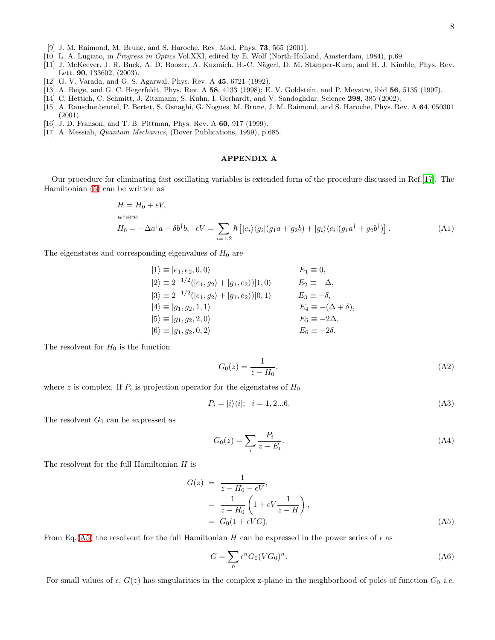- [9] J. M. Raimond, M. Brune, and S. Haroche, Rev. Mod. Phys. 73, 565 (2001).
- <span id="page-7-1"></span><span id="page-7-0"></span>[10] L. A. Lugiato, in Progress in Optics Vol.XXI, edited by E. Wolf (North-Holland, Amsterdam, 1984), p.69.
- <span id="page-7-2"></span>[11] J. McKeever, J. R. Buck, A. D. Boozer, A. Kuzmich, H.-C. Nägerl, D. M. Stamper-Kurn, and H. J. Kimble, Phys. Rev. Lett. 90, 133602, (2003).
- <span id="page-7-3"></span>[12] G. V. Varada, and G. S. Agarwal, Phys. Rev. A 45, 6721 (1992).
- <span id="page-7-4"></span>[13] A. Beige, and G. C. Hegerfeldt, Phys. Rev. A 58, 4133 (1998); E. V. Goldstein, and P. Meystre, ibid 56, 5135 (1997).
- [14] C. Hettich, C. Schmitt, J. Zitzmann, S. Kuhn, I. Gerhardt, and V. Sandoghdar, Science 298, 385 (2002).
- <span id="page-7-6"></span><span id="page-7-5"></span>[15] A. Rauschenbeutel, P. Bertet, S. Osnaghi, G. Nogues, M. Brune, J. M. Raimond, and S. Haroche, Phys. Rev. A 64, 050301 (2001).
- <span id="page-7-7"></span>[16] J. D. Franson, and T. B. Pittman, Phys. Rev. A **60**, 917 (1999).
- <span id="page-7-8"></span>[17] A. Messiah, Quantum Mechanics, (Dover Publications, 1999), p.685.

## APPENDIX A

Our procedure for eliminating fast oscillating variables is extended form of the procedure discussed in Ref.[\[17](#page-7-8)]. The Hamiltonian [\(5\)](#page-1-3) can be written as

$$
H = H_0 + \epsilon V,
$$
  
where  

$$
H_0 = -\Delta a^{\dagger} a - \delta b^{\dagger} b, \quad \epsilon V = \sum_{i=1,2} \hbar \left[ |e_i\rangle\langle g_i| (g_1 a + g_2 b) + |g_i\rangle\langle e_i| (g_1 a^{\dagger} + g_2 b^{\dagger}) \right].
$$
 (A1)

The eigenstates and corresponding eigenvalues of  $H_0$  are

$$
|1\rangle \equiv |e_1, e_2, 0, 0\rangle \qquad E_1 \equiv 0,
$$
  
\n
$$
|2\rangle \equiv 2^{-1/2} (|e_1, g_2\rangle + |g_1, e_2\rangle)|1, 0\rangle \qquad E_2 \equiv -\Delta,
$$
  
\n
$$
|3\rangle \equiv 2^{-1/2} (|e_1, g_2\rangle + |g_1, e_2\rangle)|0, 1\rangle \qquad E_3 \equiv -\delta,
$$
  
\n
$$
|4\rangle \equiv |g_1, g_2, 1, 1\rangle \qquad E_4 \equiv -(\Delta + \delta),
$$
  
\n
$$
|5\rangle \equiv |g_1, g_2, 2, 0\rangle \qquad E_5 \equiv -2\Delta,
$$
  
\n
$$
|6\rangle \equiv |g_1, g_2, 0, 2\rangle \qquad E_6 \equiv -2\delta.
$$

The resolvent for  $H_0$  is the function

$$
G_0(z) = \frac{1}{z - H_0},\tag{A2}
$$

where z is complex. If  $P_i$  is projection operator for the eigenstates of  $H_0$ 

$$
P_i = |i\rangle\langle i|; \quad i = 1, 2...6. \tag{A3}
$$

The resolvent  $G_0$  can be expressed as

$$
G_0(z) = \sum_i \frac{P_i}{z - E_i}.\tag{A4}
$$

The resolvent for the full Hamiltonian  $H$  is

<span id="page-7-9"></span>
$$
G(z) = \frac{1}{z - H_0 - \epsilon V},
$$
  
= 
$$
\frac{1}{z - H_0} \left( 1 + \epsilon V \frac{1}{z - H} \right),
$$
  
= 
$$
G_0 (1 + \epsilon V G).
$$
 (A5)

From Eq.[\(A5\)](#page-7-9) the resolvent for the full Hamiltonian H can be expressed in the power series of  $\epsilon$  as

<span id="page-7-10"></span>
$$
G = \sum_{n} \epsilon^n G_0 (V G_0)^n. \tag{A6}
$$

For small values of  $\epsilon$ ,  $G(z)$  has singularities in the complex z-plane in the neighborhood of poles of function  $G_0$  *i.e.*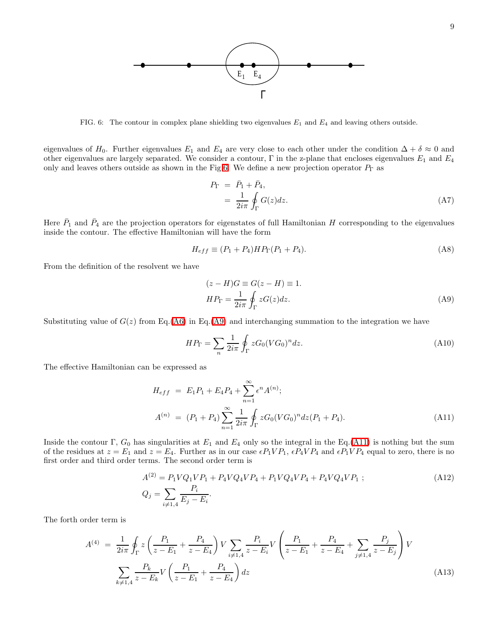<span id="page-8-0"></span>

eigenvalues of H<sub>0</sub>. Further eigenvalues E<sub>1</sub> and E<sub>4</sub> are very close to each other under the condition  $\Delta + \delta \approx 0$  and other eigenvalues are largely separated. We consider a contour,  $\Gamma$  in the z-plane that encloses eigenvalues  $E_1$  and  $E_4$ only and leaves others outside as shown in the Fig[.6.](#page-8-0) We define a new projection operator  $P_{\Gamma}$  as

$$
P_{\Gamma} = \bar{P}_1 + \bar{P}_4,
$$
  
= 
$$
\frac{1}{2i\pi} \oint_{\Gamma} G(z) dz.
$$
 (A7)

Here  $\bar{P}_1$  and  $\bar{P}_4$  are the projection operators for eigenstates of full Hamiltonian H corresponding to the eigenvalues inside the contour. The effective Hamiltonian will have the form

<span id="page-8-1"></span>
$$
H_{eff} \equiv (P_1 + P_4) H P_{\Gamma} (P_1 + P_4).
$$
 (A8)

From the definition of the resolvent we have

$$
(z - H)G \equiv G(z - H) \equiv 1.
$$
  

$$
HP_{\Gamma} = \frac{1}{2i\pi} \oint_{\Gamma} zG(z)dz.
$$
 (A9)

Substituting value of  $G(z)$  from Eq.[\(A6\)](#page-7-10) in Eq.[\(A9\)](#page-8-1) and interchanging summation to the integration we have

$$
HP_{\Gamma} = \sum_{n} \frac{1}{2i\pi} \oint_{\Gamma} zG_0(VG_0)^n dz.
$$
 (A10)

<span id="page-8-2"></span>The effective Hamiltonian can be expressed as

$$
H_{eff} = E_1 P_1 + E_4 P_4 + \sum_{n=1}^{\infty} \epsilon^n A^{(n)};
$$
  
\n
$$
A^{(n)} = (P_1 + P_4) \sum_{n=1}^{\infty} \frac{1}{2i\pi} \oint_{\Gamma} z G_0 (VG_0)^n dz (P_1 + P_4).
$$
\n(A11)

Inside the contour Γ,  $G_0$  has singularities at  $E_1$  and  $E_4$  only so the integral in the Eq.[\(A11\)](#page-8-2) is nothing but the sum of the residues at  $z = E_1$  and  $z = E_4$ . Further as in our case  $\epsilon P_1 V P_1$ ,  $\epsilon P_4 V P_4$  and  $\epsilon P_1 V P_4$  equal to zero, there is no first order and third order terms. The second order term is

$$
A^{(2)} = P_1 V Q_1 V P_1 + P_4 V Q_4 V P_4 + P_1 V Q_4 V P_4 + P_4 V Q_4 V P_1 ;
$$
\n
$$
Q_j = \sum_{i \neq 1,4} \frac{P_i}{E_j - E_i}.
$$
\n(A12)

The forth order term is

$$
A^{(4)} = \frac{1}{2i\pi} \oint_{\Gamma} z \left( \frac{P_1}{z - E_1} + \frac{P_4}{z - E_4} \right) V \sum_{i \neq 1,4} \frac{P_i}{z - E_i} V \left( \frac{P_1}{z - E_1} + \frac{P_4}{z - E_4} + \sum_{j \neq 1,4} \frac{P_j}{z - E_j} \right) V
$$
  

$$
\sum_{k \neq 1,4} \frac{P_k}{z - E_k} V \left( \frac{P_1}{z - E_1} + \frac{P_4}{z - E_4} \right) dz
$$
 (A13)